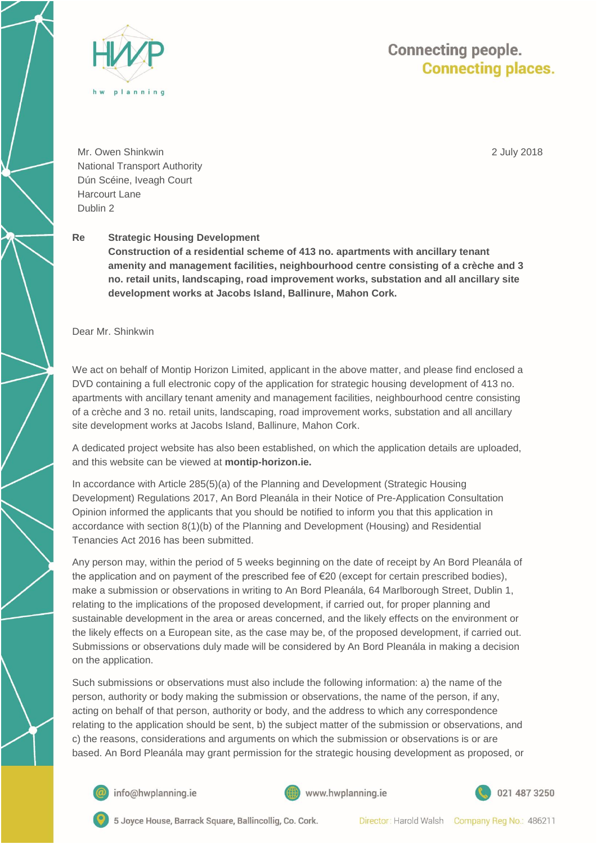

## **Connecting people. Connecting places.**

2 July 2018

Mr. Owen Shinkwin National Transport Authority Dún Scéine, Iveagh Court Harcourt Lane Dublin 2

## **Re Strategic Housing Development**

**Construction of a residential scheme of 413 no. apartments with ancillary tenant amenity and management facilities, neighbourhood centre consisting of a crèche and 3 no. retail units, landscaping, road improvement works, substation and all ancillary site development works at Jacobs Island, Ballinure, Mahon Cork.** 

Dear Mr. Shinkwin

We act on behalf of Montip Horizon Limited, applicant in the above matter, and please find enclosed a DVD containing a full electronic copy of the application for strategic housing development of 413 no. apartments with ancillary tenant amenity and management facilities, neighbourhood centre consisting of a crèche and 3 no. retail units, landscaping, road improvement works, substation and all ancillary site development works at Jacobs Island, Ballinure, Mahon Cork.

A dedicated project website has also been established, on which the application details are uploaded, and this website can be viewed at **montip-horizon.ie.**

In accordance with Article 285(5)(a) of the Planning and Development (Strategic Housing Development) Regulations 2017, An Bord Pleanála in their Notice of Pre-Application Consultation Opinion informed the applicants that you should be notified to inform you that this application in accordance with section 8(1)(b) of the Planning and Development (Housing) and Residential Tenancies Act 2016 has been submitted.

Any person may, within the period of 5 weeks beginning on the date of receipt by An Bord Pleanála of the application and on payment of the prescribed fee of €20 (except for certain prescribed bodies), make a submission or observations in writing to An Bord Pleanála, 64 Marlborough Street, Dublin 1, relating to the implications of the proposed development, if carried out, for proper planning and sustainable development in the area or areas concerned, and the likely effects on the environment or the likely effects on a European site, as the case may be, of the proposed development, if carried out. Submissions or observations duly made will be considered by An Bord Pleanála in making a decision on the application.

Such submissions or observations must also include the following information: a) the name of the person, authority or body making the submission or observations, the name of the person, if any, acting on behalf of that person, authority or body, and the address to which any correspondence relating to the application should be sent, b) the subject matter of the submission or observations, and c) the reasons, considerations and arguments on which the submission or observations is or are based. An Bord Pleanála may grant permission for the strategic housing development as proposed, or



info@hwplanning.ie